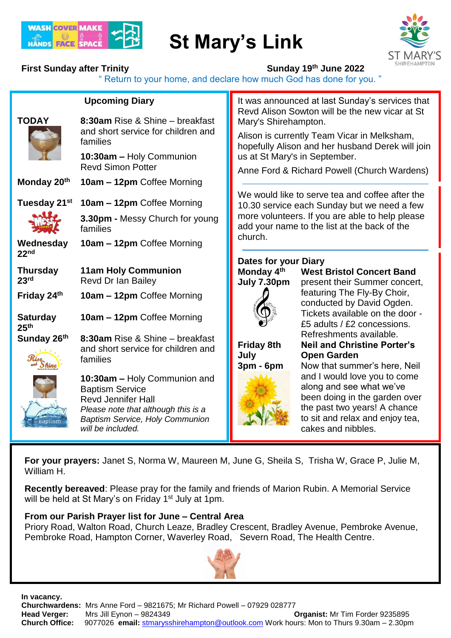

# **St Mary's Link**



## **First Sunday after Trinity Sunday 19<sup>th</sup> June 2022**

" Return to your home, and declare how much God has done for you. "

|                                     | <b>Upcoming Diary</b>                                                                                                                                                                     |                                                                                                                                                                                                   | It was announced at last Sunday's services that<br>Revd Alison Sowton will be the new vicar at St                                                                                  |
|-------------------------------------|-------------------------------------------------------------------------------------------------------------------------------------------------------------------------------------------|---------------------------------------------------------------------------------------------------------------------------------------------------------------------------------------------------|------------------------------------------------------------------------------------------------------------------------------------------------------------------------------------|
| <b>TODAY</b>                        | 8:30am Rise & Shine - breakfast<br>and short service for children and<br>families                                                                                                         | Mary's Shirehampton.                                                                                                                                                                              |                                                                                                                                                                                    |
|                                     |                                                                                                                                                                                           | Alison is currently Team Vicar in Melksham,<br>hopefully Alison and her husband Derek will join                                                                                                   |                                                                                                                                                                                    |
|                                     | 10:30am - Holy Communion<br><b>Revd Simon Potter</b>                                                                                                                                      |                                                                                                                                                                                                   | us at St Mary's in September.                                                                                                                                                      |
| Monday 20th                         | 10am - 12pm Coffee Morning                                                                                                                                                                | Anne Ford & Richard Powell (Church Wardens)                                                                                                                                                       |                                                                                                                                                                                    |
| Tuesday 21st                        | 10am - 12pm Coffee Morning                                                                                                                                                                | We would like to serve tea and coffee after the<br>10.30 service each Sunday but we need a few<br>more volunteers. If you are able to help please<br>add your name to the list at the back of the |                                                                                                                                                                                    |
|                                     | 3.30pm - Messy Church for young<br>families                                                                                                                                               |                                                                                                                                                                                                   |                                                                                                                                                                                    |
| Wednesday<br>22 <sub>nd</sub>       | 10am - 12pm Coffee Morning                                                                                                                                                                | church.                                                                                                                                                                                           |                                                                                                                                                                                    |
|                                     |                                                                                                                                                                                           | <b>Dates for your Diary</b>                                                                                                                                                                       |                                                                                                                                                                                    |
| <b>Thursday</b>                     | <b>11am Holy Communion</b>                                                                                                                                                                | Monday 4th                                                                                                                                                                                        | <b>West Bristol Concert Band</b>                                                                                                                                                   |
| 23 <sup>rd</sup>                    | Revd Dr Ian Bailey                                                                                                                                                                        | July 7.30pm                                                                                                                                                                                       | present their Summer concert,                                                                                                                                                      |
| Friday 24th                         | 10am - 12pm Coffee Morning                                                                                                                                                                |                                                                                                                                                                                                   | featuring The Fly-By Choir,<br>conducted by David Ogden.                                                                                                                           |
| <b>Saturday</b><br>25 <sup>th</sup> | 10am - 12pm Coffee Morning                                                                                                                                                                |                                                                                                                                                                                                   | Tickets available on the door -<br>£5 adults / £2 concessions.                                                                                                                     |
| Sunday 26th                         | 8:30am Rise & Shine - breakfast                                                                                                                                                           |                                                                                                                                                                                                   | Refreshments available.<br><b>Neil and Christine Porter's</b>                                                                                                                      |
|                                     | and short service for children and                                                                                                                                                        | <b>Friday 8th</b><br>July                                                                                                                                                                         | <b>Open Garden</b>                                                                                                                                                                 |
|                                     | families                                                                                                                                                                                  | 3pm - 6pm                                                                                                                                                                                         | Now that summer's here, Neil                                                                                                                                                       |
|                                     | 10:30am - Holy Communion and<br><b>Baptism Service</b><br><b>Revd Jennifer Hall</b><br>Please note that although this is a<br><b>Baptism Service, Holy Communion</b><br>will be included. |                                                                                                                                                                                                   | and I would love you to come<br>along and see what we've<br>been doing in the garden over<br>the past two years! A chance<br>to sit and relax and enjoy tea,<br>cakes and nibbles. |
|                                     |                                                                                                                                                                                           |                                                                                                                                                                                                   |                                                                                                                                                                                    |

**For your prayers:** Janet S, Norma W, Maureen M, June G, Sheila S, Trisha W, Grace P, Julie M, William H.

**Recently bereaved**: Please pray for the family and friends of Marion Rubin. A Memorial Service will be held at St Mary's on Friday 1<sup>st</sup> July at 1pm.

#### **From our Parish Prayer list for June – Central Area**

Priory Road, Walton Road, Church Leaze, Bradley Crescent, Bradley Avenue, Pembroke Avenue, Pembroke Road, Hampton Corner, Waverley Road, Severn Road, The Health Centre.